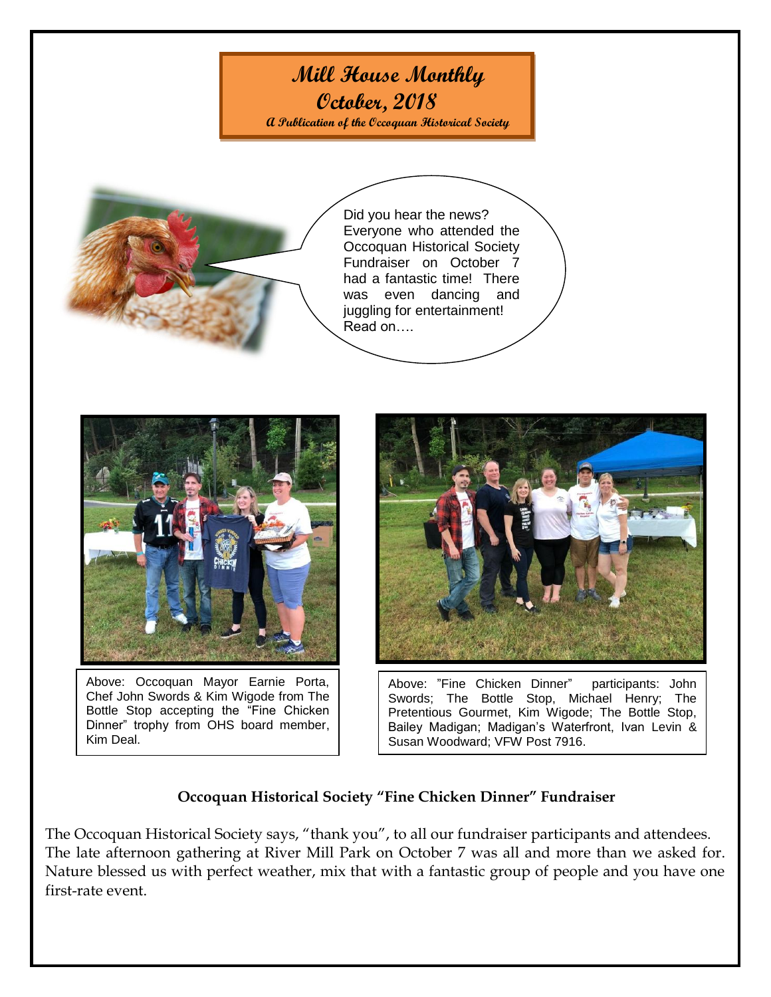## **Mill House Monthly**

**October, 2018**

**A Publication of the Occoquan Historical Society**



Did you hear the news? Everyone who attended the Occoquan Historical Society Fundraiser on October 7 had a fantastic time! There was even dancing and juggling for entertainment! Read on….



Above: Occoquan Mayor Earnie Porta, Chef John Swords & Kim Wigode from The Bottle Stop accepting the "Fine Chicken Dinner" trophy from OHS board member, Kim Deal.



Above: "Fine Chicken Dinner" participants: John Swords; The Bottle Stop, Michael Henry; The Pretentious Gourmet, Kim Wigode; The Bottle Stop, Bailey Madigan; Madigan's Waterfront, Ivan Levin & Susan Woodward; VFW Post 7916.

## **Occoquan Historical Society "Fine Chicken Dinner" Fundraiser**

The Occoquan Historical Society says, "thank you", to all our fundraiser participants and attendees. The late afternoon gathering at River Mill Park on October 7 was all and more than we asked for. Nature blessed us with perfect weather, mix that with a fantastic group of people and you have one first-rate event.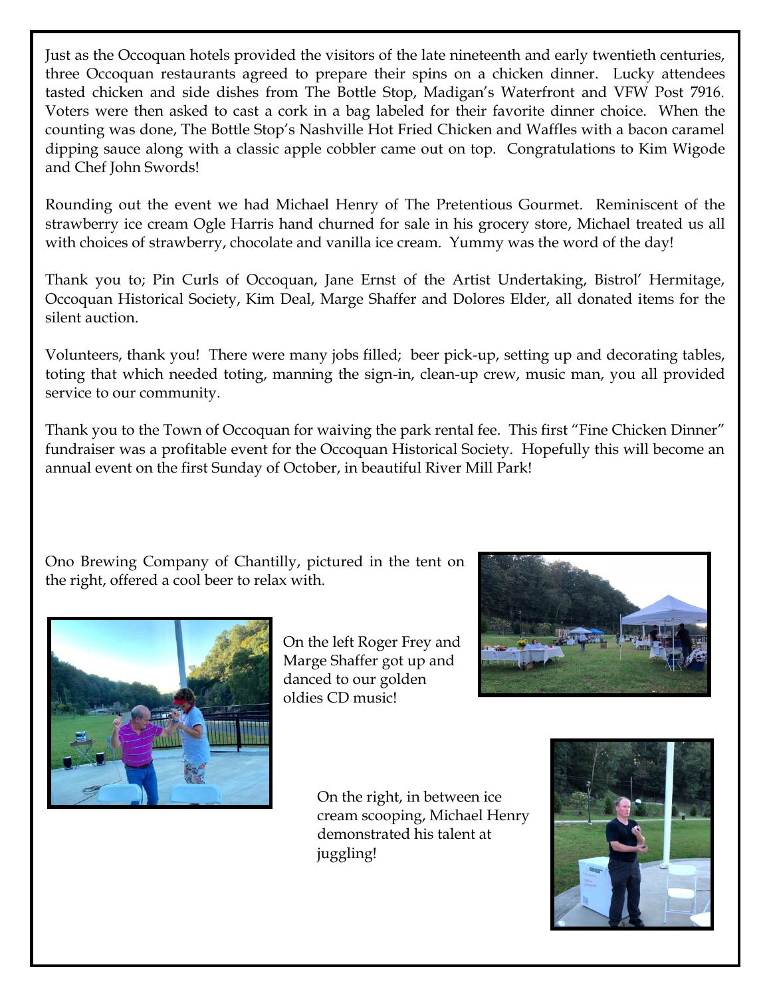Just as the Occoquan hotels provided the visitors of the late nineteenth and early twentieth centuries, three Occoquan restaurants agreed to prepare their spins on a chicken dinner. Lucky attendees tasted chicken and side dishes from The Bottle Stop, Madigan's Waterfront and VFW Post 7916. Voters were then asked to cast a cork in a bag labeled for their favorite dinner choice. When the counting was done, The Bottle Stop's Nashville Hot Fried Chicken and Waffles with a bacon caramel dipping sauce along with a classic apple cobbler came out on top. Congratulations to Kim Wigode and Chef John Swords!

Rounding out the event we had Michael Henry of The Pretentious Gourmet. Reminiscent of the strawberry ice cream Ogle Harris hand churned for sale in his grocery store, Michael treated us all with choices of strawberry, chocolate and vanilla ice cream. Yummy was the word of the day!

Thank you to; Pin Curls of Occoquan, Jane Ernst of the Artist Undertaking, Bistrol' Hermitage, Occoquan Historical Society, Kim Deal, Marge Shaffer and Dolores Elder, all donated items for the silent auction.

Volunteers, thank you! There were many jobs filled; beer pick-up, setting up and decorating tables, toting that which needed toting, manning the sign-in, clean-up crew, music man, you all provided service to our community.

Thank you to the Town of Occoquan for waiving the park rental fee. This first "Fine Chicken Dinner" fundraiser was a profitable event for the Occoquan Historical Society. Hopefully this will become an annual event on the first Sunday of October, in beautiful River Mill Park!

Ono Brewing Company of Chantilly, pictured in the tent on the right, offered a cool beer to relax with.



On the left Roger Frey and Marge Shaffer got up and danced to our golden oldies CD music!



On the right, in between ice cream scooping, Michael Henry demonstrated his talent at juggling!